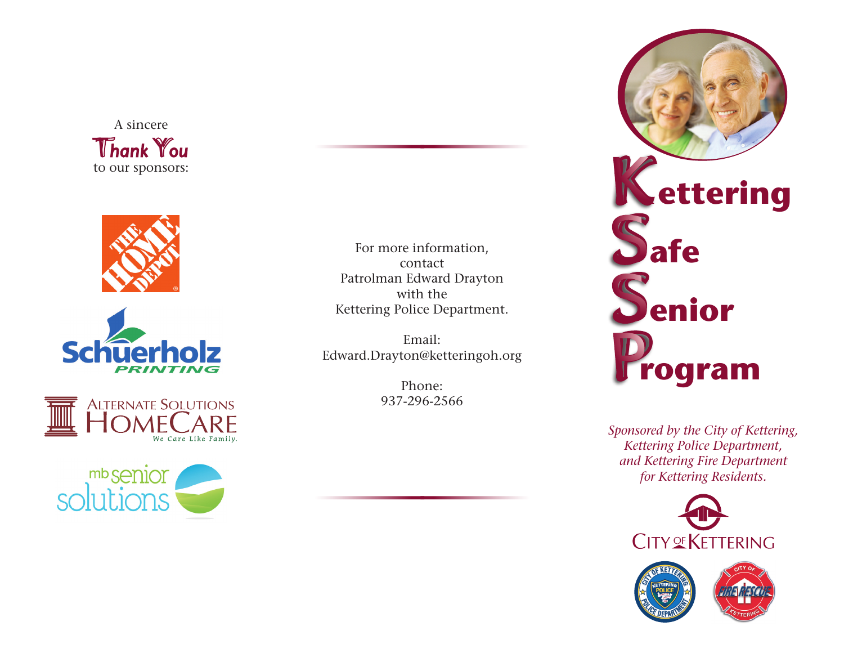A sincere *Thank You* to our sponsors:









For more information, contact Patrolman Edward Drayton with the Kettering Police Department.

Email: Edward.Drayton@ketteringoh.org

> Phone: 937-296-2566



*Sponsored by the City of Kettering, Kettering Police Department, and Kettering Fire Department for Kettering Residents.*